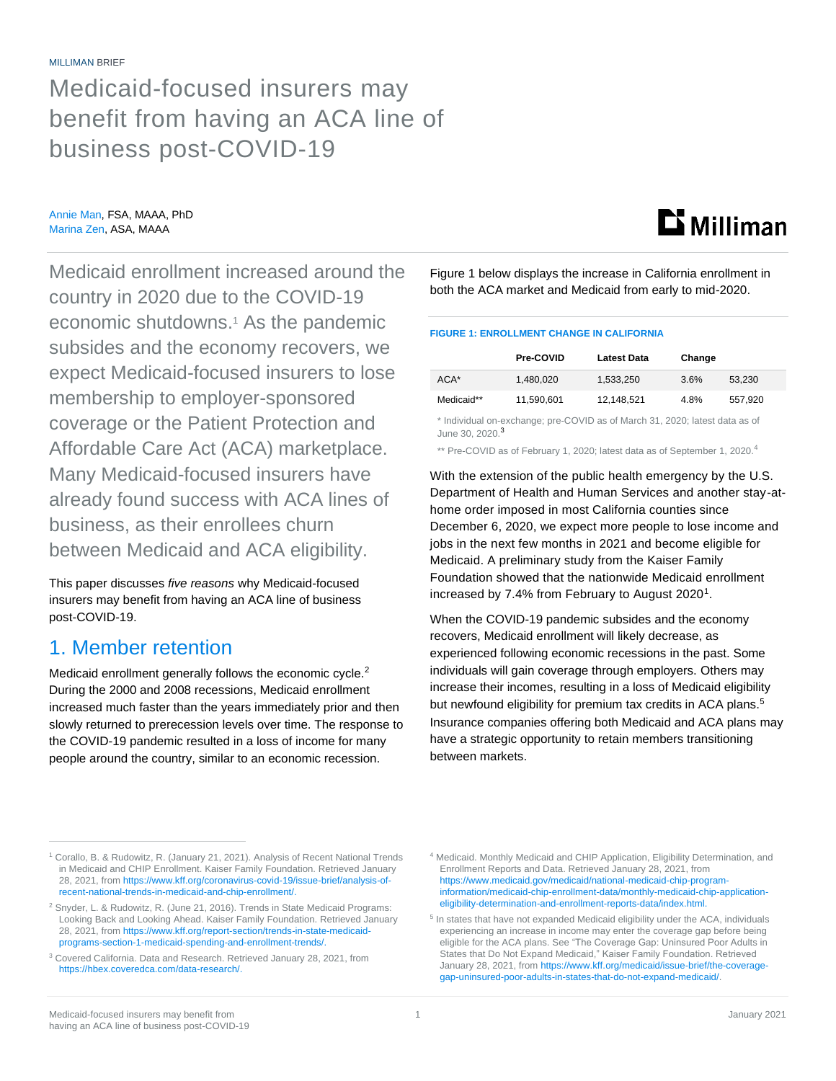Medicaid-focused insurers may benefit from having an ACA line of business post-COVID-19

Annie Man, FSA, MAAA, PhD Marina Zen, ASA, MAAA

Medicaid enrollment increased around the country in 2020 due to the COVID-19 economic shutdowns. <sup>1</sup> As the pandemic subsides and the economy recovers, we expect Medicaid-focused insurers to lose membership to employer-sponsored coverage or the Patient Protection and Affordable Care Act (ACA) marketplace. Many Medicaid-focused insurers have already found success with ACA lines of business, as their enrollees churn between Medicaid and ACA eligibility.

This paper discusses *five reasons* why Medicaid-focused insurers may benefit from having an ACA line of business post-COVID-19.

#### 1. Member retention

Medicaid enrollment generally follows the economic cycle.<sup>2</sup> During the 2000 and 2008 recessions, Medicaid enrollment increased much faster than the years immediately prior and then slowly returned to prerecession levels over time. The response to the COVID-19 pandemic resulted in a loss of income for many people around the country, similar to an economic recession.

Figure 1 below displays the increase in California enrollment in both the ACA market and Medicaid from early to mid-2020.

**Li** Milliman

#### **FIGURE 1: ENROLLMENT CHANGE IN CALIFORNIA**

|            | <b>Pre-COVID</b> | Latest Data | Change |         |
|------------|------------------|-------------|--------|---------|
| $ACA*$     | 1.480.020        | 1.533.250   | 3.6%   | 53.230  |
| Medicaid** | 11,590,601       | 12.148.521  | 4.8%   | 557.920 |

\* Individual on-exchange; pre-COVID as of March 31, 2020; latest data as of June 30, 2020.<sup>3</sup>

\*\* Pre-COVID as of February 1, 2020; latest data as of September 1, 2020.<sup>4</sup>

With the extension of the public health emergency by the U.S. Department of Health and Human Services and another stay-athome order imposed in most California counties since December 6, 2020, we expect more people to lose income and jobs in the next few months in 2021 and become eligible for Medicaid. A preliminary study from the Kaiser Family Foundation showed that the nationwide Medicaid enrollment increased by 7.4% from February to August 2020<sup>1</sup>.

When the COVID-19 pandemic subsides and the economy recovers, Medicaid enrollment will likely decrease, as experienced following economic recessions in the past. Some individuals will gain coverage through employers. Others may increase their incomes, resulting in a loss of Medicaid eligibility but newfound eligibility for premium tax credits in ACA plans.<sup>5</sup> Insurance companies offering both Medicaid and ACA plans may have a strategic opportunity to retain members transitioning between markets.

<sup>&</sup>lt;sup>1</sup> Corallo, B. & Rudowitz, R. (January 21, 2021). Analysis of Recent National Trends in Medicaid and CHIP Enrollment. Kaiser Family Foundation. Retrieved January 28, 2021, fro[m https://www.kff.org/coronavirus-covid-19/issue-brief/analysis-of](https://www.kff.org/coronavirus-covid-19/issue-brief/analysis-of-recent-national-trends-in-medicaid-and-chip-enrollment/)[recent-national-trends-in-medicaid-and-chip-enrollment/.](https://www.kff.org/coronavirus-covid-19/issue-brief/analysis-of-recent-national-trends-in-medicaid-and-chip-enrollment/)

<sup>&</sup>lt;sup>2</sup> Snyder, L. & Rudowitz, R. (June 21, 2016). Trends in State Medicaid Programs: Looking Back and Looking Ahead. Kaiser Family Foundation. Retrieved January 28, 2021, fro[m https://www.kff.org/report-section/trends-in-state-medicaid](https://www.kff.org/report-section/trends-in-state-medicaid-programs-section-1-medicaid-spending-and-enrollment-trends/)[programs-section-1-medicaid-spending-and-enrollment-trends/.](https://www.kff.org/report-section/trends-in-state-medicaid-programs-section-1-medicaid-spending-and-enrollment-trends/)

<sup>3</sup> Covered California. Data and Research. Retrieved January 28, 2021, from [https://hbex.coveredca.com/data-research/.](https://hbex.coveredca.com/data-research/)

<sup>4</sup> Medicaid. Monthly Medicaid and CHIP Application, Eligibility Determination, and Enrollment Reports and Data. Retrieved January 28, 2021, from [https://www.medicaid.gov/medicaid/national-medicaid-chip-program](https://www.medicaid.gov/medicaid/national-medicaid-chip-program-information/medicaid-chip-enrollment-data/monthly-medicaid-chip-application-eligibility-determination-and-enrollment-reports-data/index.html)[information/medicaid-chip-enrollment-data/monthly-medicaid-chip-application](https://www.medicaid.gov/medicaid/national-medicaid-chip-program-information/medicaid-chip-enrollment-data/monthly-medicaid-chip-application-eligibility-determination-and-enrollment-reports-data/index.html)[eligibility-determination-and-enrollment-reports-data/index.html.](https://www.medicaid.gov/medicaid/national-medicaid-chip-program-information/medicaid-chip-enrollment-data/monthly-medicaid-chip-application-eligibility-determination-and-enrollment-reports-data/index.html)

<sup>&</sup>lt;sup>5</sup> In states that have not expanded Medicaid eligibility under the ACA, individuals experiencing an increase in income may enter the coverage gap before being eligible for the ACA plans. See "The Coverage Gap: Uninsured Poor Adults in States that Do Not Expand Medicaid," Kaiser Family Foundation. Retrieved January 28, 2021, from https://www.kff.org/medicaid/issue-brief/the-coverage [gap-uninsured-poor-adults-in-states-that-do-not-expand-medicaid/.](https://www.kff.org/medicaid/issue-brief/the-coverage-gap-uninsured-poor-adults-in-states-that-do-not-expand-medicaid/)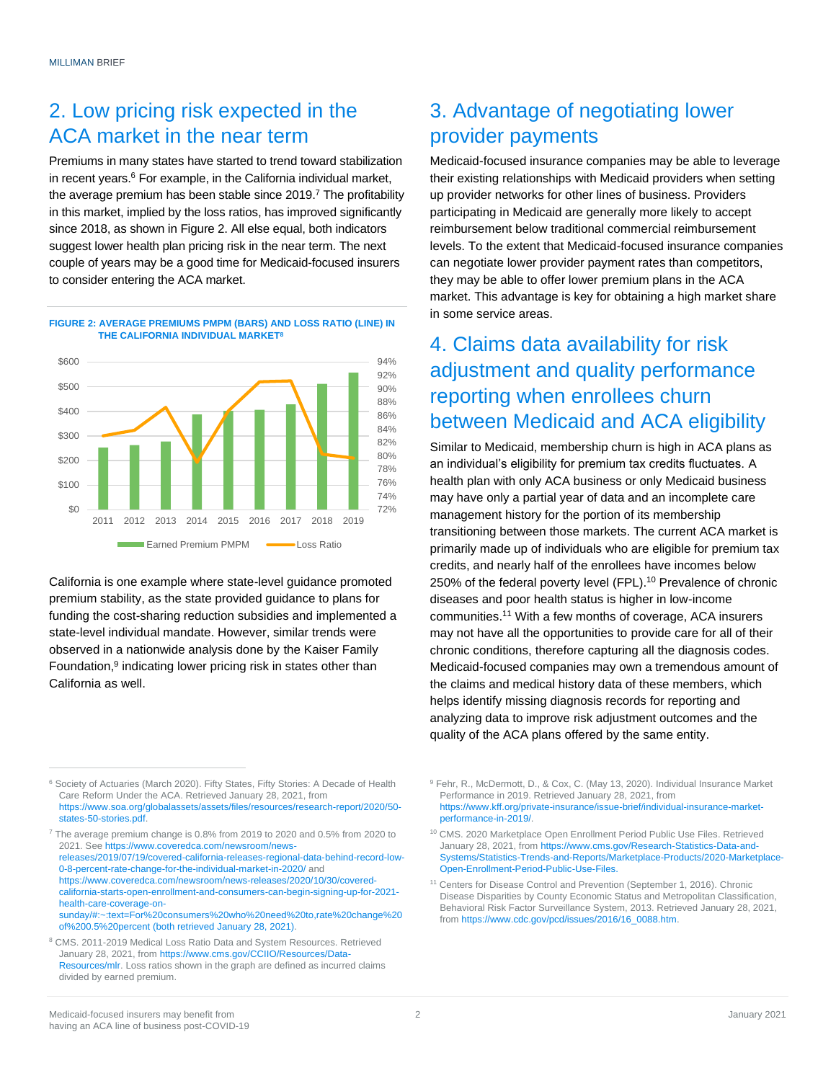## 2. Low pricing risk expected in the ACA market in the near term

Premiums in many states have started to trend toward stabilization in recent years.<sup>6</sup> For example, in the California individual market, the average premium has been stable since 2019.<sup>7</sup> The profitability in this market, implied by the loss ratios, has improved significantly since 2018, as shown in Figure 2. All else equal, both indicators suggest lower health plan pricing risk in the near term. The next couple of years may be a good time for Medicaid-focused insurers to consider entering the ACA market.





California is one example where state-level guidance promoted premium stability, as the state provided guidance to plans for funding the cost-sharing reduction subsidies and implemented a state-level individual mandate. However, similar trends were observed in a nationwide analysis done by the Kaiser Family Foundation,<sup>9</sup> indicating lower pricing risk in states other than California as well.

<sup>7</sup> The average premium change is 0.8% from 2019 to 2020 and 0.5% from 2020 to 2021. Se[e https://www.coveredca.com/newsroom/news](https://www.coveredca.com/newsroom/news-releases/2019/07/19/covered-california-releases-regional-data-behind-record-low-0-8-percent-rate-change-for-the-individual-market-in-2020/)[releases/2019/07/19/covered-california-releases-regional-data-behind-record-low-](https://www.coveredca.com/newsroom/news-releases/2019/07/19/covered-california-releases-regional-data-behind-record-low-0-8-percent-rate-change-for-the-individual-market-in-2020/)[0-8-percent-rate-change-for-the-individual-market-in-2020/](https://www.coveredca.com/newsroom/news-releases/2019/07/19/covered-california-releases-regional-data-behind-record-low-0-8-percent-rate-change-for-the-individual-market-in-2020/) and [https://www.coveredca.com/newsroom/news-releases/2020/10/30/covered](https://www.coveredca.com/newsroom/news-releases/2020/10/30/covered-california-starts-open-enrollment-and-consumers-can-begin-signing-up-for-2021-health-care-coverage-on-sunday/#:~:text=For%20consumers%20who%20need%20to,rate%20change%20of%200.5%20percent)[california-starts-open-enrollment-and-consumers-can-begin-signing-up-for-2021](https://www.coveredca.com/newsroom/news-releases/2020/10/30/covered-california-starts-open-enrollment-and-consumers-can-begin-signing-up-for-2021-health-care-coverage-on-sunday/#:~:text=For%20consumers%20who%20need%20to,rate%20change%20of%200.5%20percent) [health-care-coverage-on](https://www.coveredca.com/newsroom/news-releases/2020/10/30/covered-california-starts-open-enrollment-and-consumers-can-begin-signing-up-for-2021-health-care-coverage-on-sunday/#:~:text=For%20consumers%20who%20need%20to,rate%20change%20of%200.5%20percent)[sunday/#:~:text=For%20consumers%20who%20need%20to,rate%20change%20](https://www.coveredca.com/newsroom/news-releases/2020/10/30/covered-california-starts-open-enrollment-and-consumers-can-begin-signing-up-for-2021-health-care-coverage-on-sunday/#:~:text=For%20consumers%20who%20need%20to,rate%20change%20of%200.5%20percent) [of%200.5%20percent](https://www.coveredca.com/newsroom/news-releases/2020/10/30/covered-california-starts-open-enrollment-and-consumers-can-begin-signing-up-for-2021-health-care-coverage-on-sunday/#:~:text=For%20consumers%20who%20need%20to,rate%20change%20of%200.5%20percent) (both retrieved January 28, 2021).

<sup>8</sup> CMS. 2011-2019 Medical Loss Ratio Data and System Resources. Retrieved January 28, 2021, fro[m https://www.cms.gov/CCIIO/Resources/Data-](https://www.cms.gov/CCIIO/Resources/Data-Resources/mlr)[Resources/mlr.](https://www.cms.gov/CCIIO/Resources/Data-Resources/mlr) Loss ratios shown in the graph are defined as incurred claims divided by earned premium.

# 3. Advantage of negotiating lower provider payments

Medicaid-focused insurance companies may be able to leverage their existing relationships with Medicaid providers when setting up provider networks for other lines of business. Providers participating in Medicaid are generally more likely to accept reimbursement below traditional commercial reimbursement levels. To the extent that Medicaid-focused insurance companies can negotiate lower provider payment rates than competitors, they may be able to offer lower premium plans in the ACA market. This advantage is key for obtaining a high market share in some service areas.

# 4. Claims data availability for risk adjustment and quality performance reporting when enrollees churn between Medicaid and ACA eligibility

Similar to Medicaid, membership churn is high in ACA plans as an individual's eligibility for premium tax credits fluctuates. A health plan with only ACA business or only Medicaid business may have only a partial year of data and an incomplete care management history for the portion of its membership transitioning between those markets. The current ACA market is primarily made up of individuals who are eligible for premium tax credits, and nearly half of the enrollees have incomes below 250% of the federal poverty level (FPL). <sup>10</sup> Prevalence of chronic diseases and poor health status is higher in low-income communities. <sup>11</sup> With a few months of coverage, ACA insurers may not have all the opportunities to provide care for all of their chronic conditions, therefore capturing all the diagnosis codes. Medicaid-focused companies may own a tremendous amount of the claims and medical history data of these members, which helps identify missing diagnosis records for reporting and analyzing data to improve risk adjustment outcomes and the quality of the ACA plans offered by the same entity.

<sup>6</sup> Society of Actuaries (March 2020). Fifty States, Fifty Stories: A Decade of Health Care Reform Under the ACA. Retrieved January 28, 2021, from [https://www.soa.org/globalassets/assets/files/resources/research-report/2020/50](https://www.soa.org/globalassets/assets/files/resources/research-report/2020/50-states-50-stories.pdf) [states-50-stories.pdf.](https://www.soa.org/globalassets/assets/files/resources/research-report/2020/50-states-50-stories.pdf)

<sup>&</sup>lt;sup>9</sup> Fehr, R., McDermott, D., & Cox, C. (May 13, 2020). Individual Insurance Market Performance in 2019. Retrieved January 28, 2021, from [https://www.kff.org/private-insurance/issue-brief/individual-insurance-market](https://www.kff.org/private-insurance/issue-brief/individual-insurance-market-performance-in-2019/)[performance-in-2019/.](https://www.kff.org/private-insurance/issue-brief/individual-insurance-market-performance-in-2019/)

<sup>10</sup> CMS. 2020 Marketplace Open Enrollment Period Public Use Files. Retrieved January 28, 2021, fro[m https://www.cms.gov/Research-Statistics-Data-and-](https://www.cms.gov/Research-Statistics-Data-and-Systems/Statistics-Trends-and-Reports/Marketplace-Products/2020-Marketplace-Open-Enrollment-Period-Public-Use-Files)[Systems/Statistics-Trends-and-Reports/Marketplace-Products/2020-Marketplace-](https://www.cms.gov/Research-Statistics-Data-and-Systems/Statistics-Trends-and-Reports/Marketplace-Products/2020-Marketplace-Open-Enrollment-Period-Public-Use-Files)[Open-Enrollment-Period-Public-Use-Files.](https://www.cms.gov/Research-Statistics-Data-and-Systems/Statistics-Trends-and-Reports/Marketplace-Products/2020-Marketplace-Open-Enrollment-Period-Public-Use-Files)

<sup>&</sup>lt;sup>11</sup> Centers for Disease Control and Prevention (September 1, 2016). Chronic Disease Disparities by County Economic Status and Metropolitan Classification, Behavioral Risk Factor Surveillance System, 2013. Retrieved January 28, 2021, fro[m https://www.cdc.gov/pcd/issues/2016/16\\_0088.htm.](https://www.cdc.gov/pcd/issues/2016/16_0088.htm)